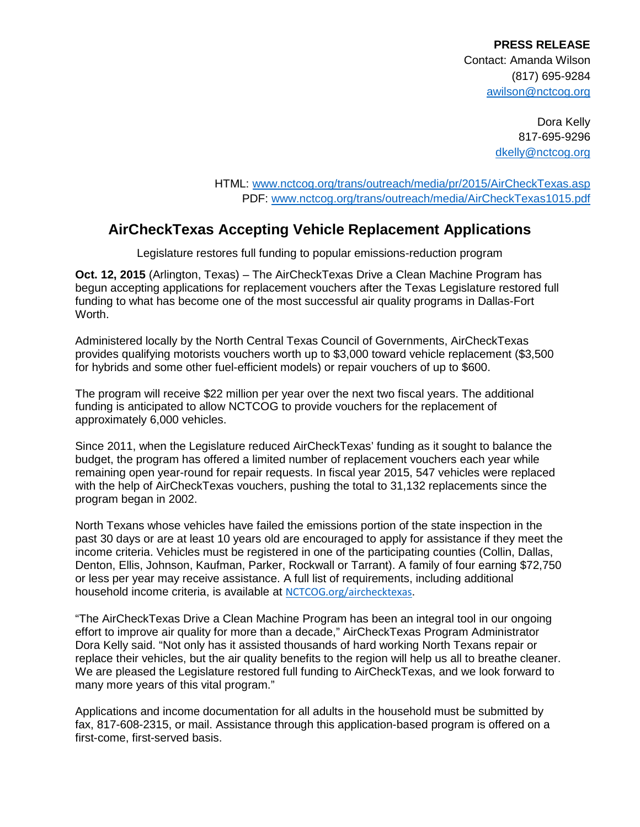**PRESS RELEASE** Contact: Amanda Wilson (817) 695-9284 awilson@nctcog.org

> Dora Kelly 817-695-9296 [dkelly@nctcog.org](mailto:dkelly@nctcog.org)

HTML: [www.nctcog.org/trans/outreach/media/pr/2015/AirCheckTexas.asp](http://www.nctcog.org/trans/outreach/media/pr/2015/AirCheckTexas.asp) PDF: [www.nctcog.org/trans/outreach/media/AirCheckTexas1015.pdf](http://www.nctcog.org/trans/outreach/media/AirCheckTexas1015.pdf)

## **AirCheckTexas Accepting Vehicle Replacement Applications**

Legislature restores full funding to popular emissions-reduction program

**Oct. 12, 2015** (Arlington, Texas) – The AirCheckTexas Drive a Clean Machine Program has begun accepting applications for replacement vouchers after the Texas Legislature restored full funding to what has become one of the most successful air quality programs in Dallas-Fort Worth.

Administered locally by the North Central Texas Council of Governments, AirCheckTexas provides qualifying motorists vouchers worth up to \$3,000 toward vehicle replacement (\$3,500 for hybrids and some other fuel-efficient models) or repair vouchers of up to \$600.

The program will receive \$22 million per year over the next two fiscal years. The additional funding is anticipated to allow NCTCOG to provide vouchers for the replacement of approximately 6,000 vehicles.

Since 2011, when the Legislature reduced AirCheckTexas' funding as it sought to balance the budget, the program has offered a limited number of replacement vouchers each year while remaining open year-round for repair requests. In fiscal year 2015, 547 vehicles were replaced with the help of AirCheckTexas vouchers, pushing the total to 31,132 replacements since the program began in 2002.

North Texans whose vehicles have failed the emissions portion of the state inspection in the past 30 days or are at least 10 years old are encouraged to apply for assistance if they meet the income criteria. Vehicles must be registered in one of the participating counties (Collin, Dallas, Denton, Ellis, Johnson, Kaufman, Parker, Rockwall or Tarrant). A family of four earning \$72,750 or less per year may receive assistance. A full list of requirements, including additional household income criteria, is available at [NCTCOG.org/airchecktexas](http://www.nctcog.org/airchecktexas).

"The AirCheckTexas Drive a Clean Machine Program has been an integral tool in our ongoing effort to improve air quality for more than a decade," AirCheckTexas Program Administrator Dora Kelly said. "Not only has it assisted thousands of hard working North Texans repair or replace their vehicles, but the air quality benefits to the region will help us all to breathe cleaner. We are pleased the Legislature restored full funding to AirCheckTexas, and we look forward to many more years of this vital program."

Applications and income documentation for all adults in the household must be submitted by fax, 817-608-2315, or mail. Assistance through this application-based program is offered on a first-come, first-served basis.